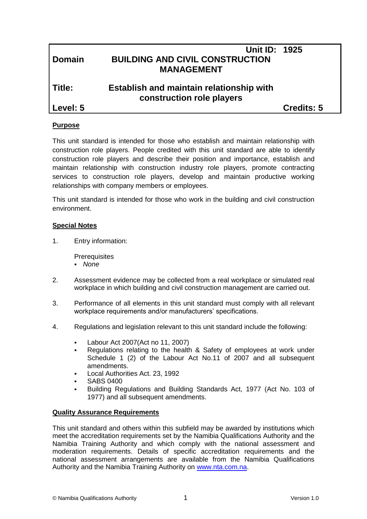| <b>Domain</b> | <b>Unit ID: 1925</b><br><b>BUILDING AND CIVIL CONSTRUCTION</b><br><b>MANAGEMENT</b> |            |
|---------------|-------------------------------------------------------------------------------------|------------|
| Title:        | <b>Establish and maintain relationship with</b><br>construction role players        |            |
| Level: 5      |                                                                                     | Credits: 5 |
|               |                                                                                     |            |

## **Purpose**

This unit standard is intended for those who establish and maintain relationship with construction role players. People credited with this unit standard are able to identify construction role players and describe their position and importance, establish and maintain relationship with construction industry role players, promote contracting services to construction role players, develop and maintain productive working relationships with company members or employees.

This unit standard is intended for those who work in the building and civil construction environment.

#### **Special Notes**

1. Entry information:

**Prerequisites** 

- *None*
- 2. Assessment evidence may be collected from a real workplace or simulated real workplace in which building and civil construction management are carried out.
- 3. Performance of all elements in this unit standard must comply with all relevant workplace requirements and/or manufacturers' specifications.
- 4. Regulations and legislation relevant to this unit standard include the following:
	- Labour Act 2007(Act no 11, 2007)
	- Regulations relating to the health & Safety of employees at work under Schedule 1 (2) of the Labour Act No.11 of 2007 and all subsequent amendments.
	- Local Authorities Act. 23, 1992
	- SABS 0400
	- Building Regulations and Building Standards Act, 1977 (Act No. 103 of 1977) and all subsequent amendments.

#### **Quality Assurance Requirements**

This unit standard and others within this subfield may be awarded by institutions which meet the accreditation requirements set by the Namibia Qualifications Authority and the Namibia Training Authority and which comply with the national assessment and moderation requirements. Details of specific accreditation requirements and the national assessment arrangements are available from the Namibia Qualifications Authority and the Namibia Training Authority on [www.nta.com.na.](http://www.nta.com.na/)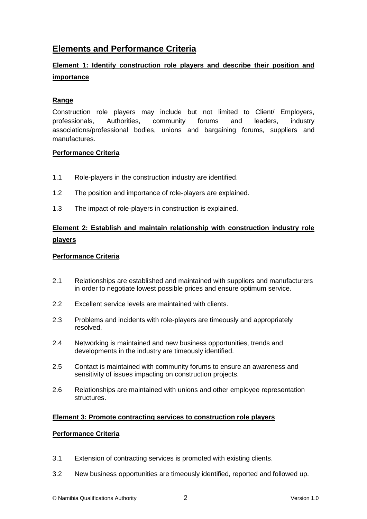# **Elements and Performance Criteria**

## **Element 1: Identify construction role players and describe their position and importance**

### **Range**

Construction role players may include but not limited to Client/ Employers, professionals, Authorities, community forums and leaders, industry associations/professional bodies, unions and bargaining forums, suppliers and manufactures.

#### **Performance Criteria**

- 1.1 Role-players in the construction industry are identified.
- 1.2 The position and importance of role-players are explained.
- 1.3 The impact of role-players in construction is explained.

## **Element 2: Establish and maintain relationship with construction industry role players**

### **Performance Criteria**

- 2.1 Relationships are established and maintained with suppliers and manufacturers in order to negotiate lowest possible prices and ensure optimum service.
- 2.2 Excellent service levels are maintained with clients.
- 2.3 Problems and incidents with role-players are timeously and appropriately resolved.
- 2.4 Networking is maintained and new business opportunities, trends and developments in the industry are timeously identified.
- 2.5 Contact is maintained with community forums to ensure an awareness and sensitivity of issues impacting on construction projects.
- 2.6 Relationships are maintained with unions and other employee representation structures.

#### **Element 3: Promote contracting services to construction role players**

#### **Performance Criteria**

- 3.1 Extension of contracting services is promoted with existing clients.
- 3.2 New business opportunities are timeously identified, reported and followed up.